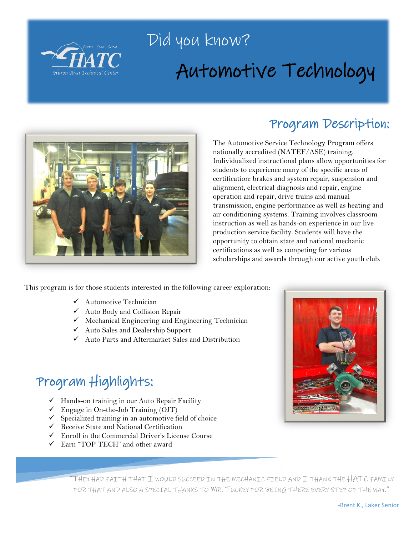

# Did you know? Automotive Technology



### Program Description:

The Automotive Service Technology Program offers nationally accredited (NATEF/ASE) training. Individualized instructional plans allow opportunities for students to experience many of the specific areas of certification: brakes and system repair, suspension and alignment, electrical diagnosis and repair, engine operation and repair, drive trains and manual transmission, engine performance as well as heating and air conditioning systems. Training involves classroom instruction as well as hands-on experience in our live production service facility. Students will have the opportunity to obtain state and national mechanic certifications as well as competing for various scholarships and awards through our active youth club.

This program is for those students interested in the following career exploration:

- Automotive Technician
- Auto Body and Collision Repair
- $\checkmark$  Mechanical Engineering and Engineering Technician
- Auto Sales and Dealership Support
- $\checkmark$  Auto Parts and Aftermarket Sales and Distribution

## Program Highlights:

- $\checkmark$  Hands-on training in our Auto Repair Facility
- $\checkmark$  Engage in On-the-Job Training (OJT)
- $\checkmark$  Specialized training in an automotive field of choice
- $\checkmark$  Receive State and National Certification
- $\checkmark$  Enroll in the Commercial Driver's License Course
- Earn "TOP TECH" and other award



"THEY HAD FAITH THAT I WOULD SUCCEED IN THE MECHANIC FIELD AND I THANK THE HATC FAMILY FOR THAT AND ALSO A SPECIAL THANKS TO WR. TUCKEY FOR BEING THERE EVERY STEP OF THE WAY."